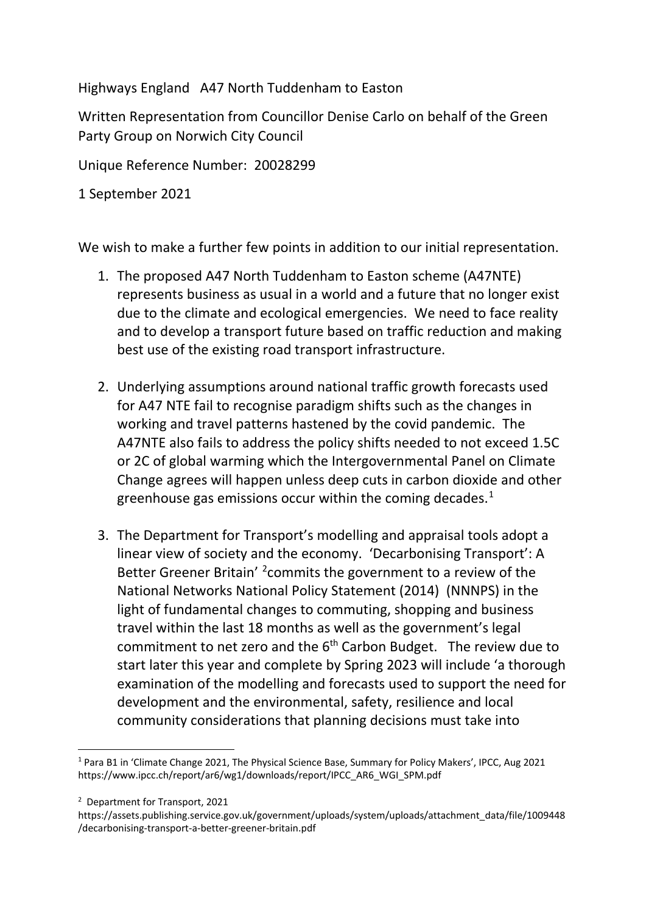Highways England A47 North Tuddenham to Easton

Written Representation from Councillor Denise Carlo on behalf of the Green Party Group on Norwich City Council

Unique Reference Number: 20028299

1 September 2021

We wish to make a further few points in addition to our initial representation.

- 1. The proposed A47 North Tuddenham to Easton scheme (A47NTE) represents business as usual in a world and a future that no longer exist due to the climate and ecological emergencies. We need to face reality and to develop a transport future based on traffic reduction and making best use of the existing road transport infrastructure.
- 2. Underlying assumptions around national traffic growth forecasts used for A47 NTE fail to recognise paradigm shifts such as the changes in working and travel patterns hastened by the covid pandemic. The A47NTE also fails to address the policy shifts needed to not exceed 1.5C or 2C of global warming which the Intergovernmental Panel on Climate Change agrees will happen unless deep cuts in carbon dioxide and other greenhouse gas emissions occur within the coming decades.<sup>[1](#page-0-0)</sup>
- 3. The Department for Transport's modelling and appraisal tools adopt a linear view of society and the economy. 'Decarbonising Transport': A Better Greener Britain' <sup>[2](#page-0-1)</sup> commits the government to a review of the National Networks National Policy Statement (2014) (NNNPS) in the light of fundamental changes to commuting, shopping and business travel within the last 18 months as well as the government's legal commitment to net zero and the  $6<sup>th</sup>$  Carbon Budget. The review due to start later this year and complete by Spring 2023 will include 'a thorough examination of the modelling and forecasts used to support the need for development and the environmental, safety, resilience and local community considerations that planning decisions must take into

<span id="page-0-0"></span><sup>1</sup> Para B1 in 'Climate Change 2021, The Physical Science Base, Summary for Policy Makers', IPCC, Aug 2021 https://www.ipcc.ch/report/ar6/wg1/downloads/report/IPCC\_AR6\_WGI\_SPM.pdf

<span id="page-0-1"></span><sup>2</sup> Department for Transport, 2021

https://assets.publishing.service.gov.uk/government/uploads/system/uploads/attachment\_data/file/1009448 /decarbonising-transport-a-better-greener-britain.pdf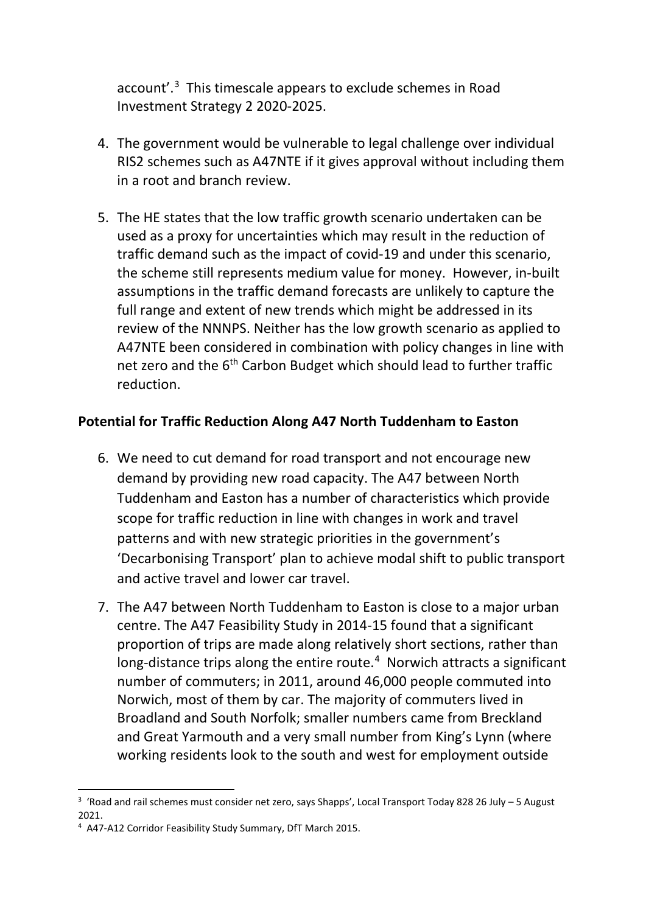account'.<sup>[3](#page-1-0)</sup> This timescale appears to exclude schemes in Road Investment Strategy 2 2020-2025.

- 4. The government would be vulnerable to legal challenge over individual RIS2 schemes such as A47NTE if it gives approval without including them in a root and branch review.
- 5. The HE states that the low traffic growth scenario undertaken can be used as a proxy for uncertainties which may result in the reduction of traffic demand such as the impact of covid-19 and under this scenario, the scheme still represents medium value for money. However, in-built assumptions in the traffic demand forecasts are unlikely to capture the full range and extent of new trends which might be addressed in its review of the NNNPS. Neither has the low growth scenario as applied to A47NTE been considered in combination with policy changes in line with net zero and the 6<sup>th</sup> Carbon Budget which should lead to further traffic reduction.

## **Potential for Traffic Reduction Along A47 North Tuddenham to Easton**

- 6. We need to cut demand for road transport and not encourage new demand by providing new road capacity. The A47 between North Tuddenham and Easton has a number of characteristics which provide scope for traffic reduction in line with changes in work and travel patterns and with new strategic priorities in the government's 'Decarbonising Transport' plan to achieve modal shift to public transport and active travel and lower car travel.
- 7. The A47 between North Tuddenham to Easton is close to a major urban centre. The A47 Feasibility Study in 2014-15 found that a significant proportion of trips are made along relatively short sections, rather than long-distance trips along the entire route.<sup>[4](#page-1-1)</sup> Norwich attracts a significant number of commuters; in 2011, around 46,000 people commuted into Norwich, most of them by car. The majority of commuters lived in Broadland and South Norfolk; smaller numbers came from Breckland and Great Yarmouth and a very small number from King's Lynn (where working residents look to the south and west for employment outside

<span id="page-1-0"></span><sup>&</sup>lt;sup>3</sup> 'Road and rail schemes must consider net zero, says Shapps', Local Transport Today 828 26 July - 5 August 2021.

<span id="page-1-1"></span><sup>&</sup>lt;sup>4</sup> A47-A12 Corridor Feasibility Study Summary, DfT March 2015.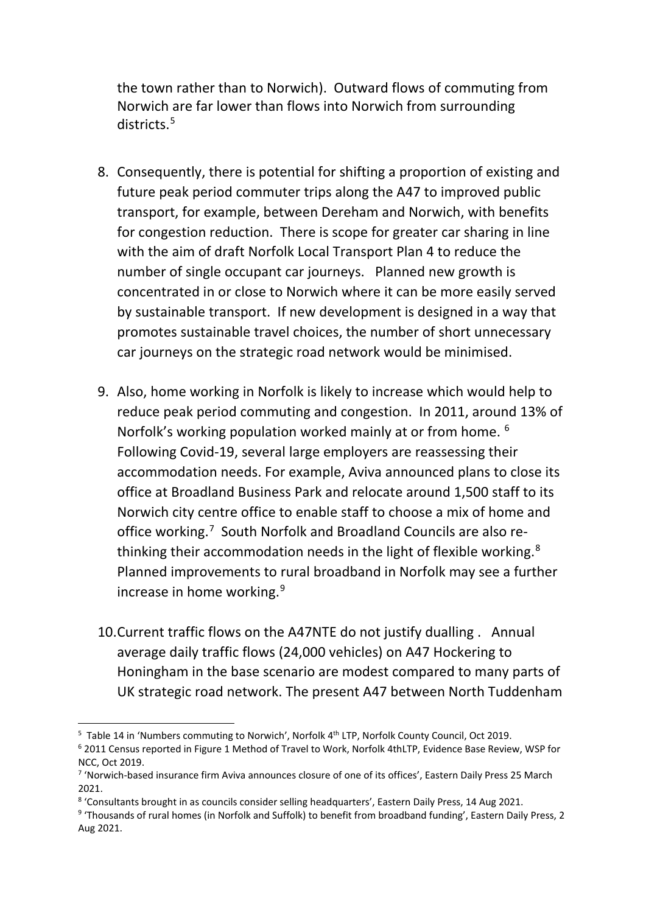the town rather than to Norwich). Outward flows of commuting from Norwich are far lower than flows into Norwich from surrounding districts.<sup>[5](#page-2-0)</sup>

- 8. Consequently, there is potential for shifting a proportion of existing and future peak period commuter trips along the A47 to improved public transport, for example, between Dereham and Norwich, with benefits for congestion reduction. There is scope for greater car sharing in line with the aim of draft Norfolk Local Transport Plan 4 to reduce the number of single occupant car journeys. Planned new growth is concentrated in or close to Norwich where it can be more easily served by sustainable transport. If new development is designed in a way that promotes sustainable travel choices, the number of short unnecessary car journeys on the strategic road network would be minimised.
- 9. Also, home working in Norfolk is likely to increase which would help to reduce peak period commuting and congestion. In 2011, around 13% of Norfolk's working population worked mainly at or from home. <sup>[6](#page-2-1)</sup> Following Covid-19, several large employers are reassessing their accommodation needs. For example, Aviva announced plans to close its office at Broadland Business Park and relocate around 1,500 staff to its Norwich city centre office to enable staff to choose a mix of home and office working.<sup>[7](#page-2-2)</sup> South Norfolk and Broadland Councils are also rethinking their accommodation needs in the light of flexible working. $8$ Planned improvements to rural broadband in Norfolk may see a further increase in home working.<sup>[9](#page-2-4)</sup>
- 10.Current traffic flows on the A47NTE do not justify dualling . Annual average daily traffic flows (24,000 vehicles) on A47 Hockering to Honingham in the base scenario are modest compared to many parts of UK strategic road network. The present A47 between North Tuddenham

<span id="page-2-0"></span><sup>&</sup>lt;sup>5</sup> Table 14 in 'Numbers commuting to Norwich', Norfolk 4<sup>th</sup> LTP, Norfolk County Council, Oct 2019.

<span id="page-2-1"></span><sup>6</sup> 2011 Census reported in Figure 1 Method of Travel to Work, Norfolk 4thLTP, Evidence Base Review, WSP for NCC, Oct 2019.

<span id="page-2-2"></span><sup>7</sup> 'Norwich-based insurance firm Aviva announces closure of one of its offices', Eastern Daily Press 25 March 2021.

<span id="page-2-3"></span><sup>8</sup> 'Consultants brought in as councils consider selling headquarters', Eastern Daily Press, 14 Aug 2021.

<span id="page-2-4"></span><sup>9</sup> 'Thousands of rural homes (in Norfolk and Suffolk) to benefit from broadband funding', Eastern Daily Press, 2 Aug 2021.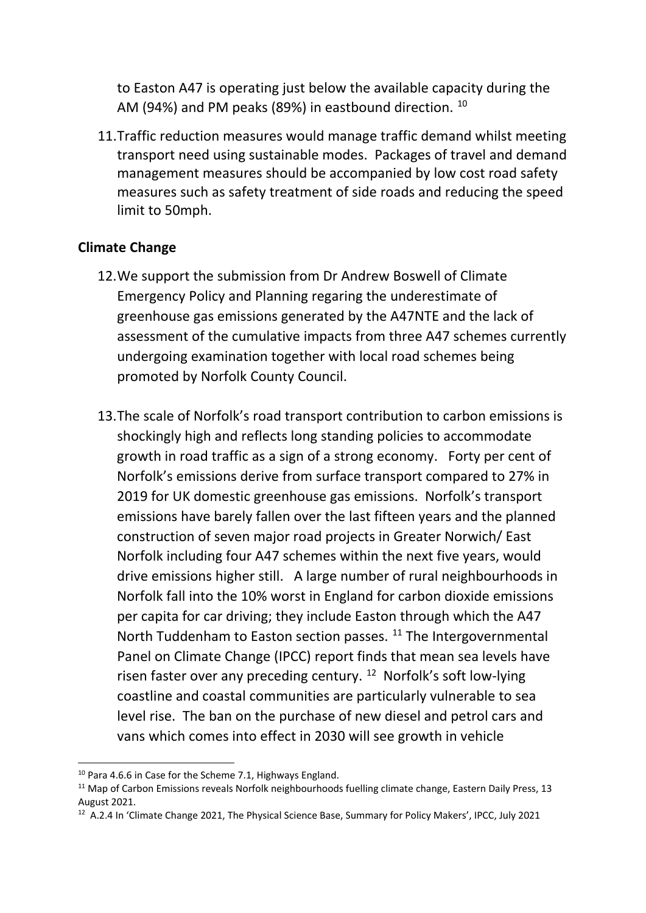to Easton A47 is operating just below the available capacity during the AM (94%) and PM peaks (89%) in eastbound direction. <sup>10</sup>

11.Traffic reduction measures would manage traffic demand whilst meeting transport need using sustainable modes. Packages of travel and demand management measures should be accompanied by low cost road safety measures such as safety treatment of side roads and reducing the speed limit to 50mph.

## **Climate Change**

- 12.We support the submission from Dr Andrew Boswell of Climate Emergency Policy and Planning regaring the underestimate of greenhouse gas emissions generated by the A47NTE and the lack of assessment of the cumulative impacts from three A47 schemes currently undergoing examination together with local road schemes being promoted by Norfolk County Council.
- 13.The scale of Norfolk's road transport contribution to carbon emissions is shockingly high and reflects long standing policies to accommodate growth in road traffic as a sign of a strong economy. Forty per cent of Norfolk's emissions derive from surface transport compared to 27% in 2019 for UK domestic greenhouse gas emissions. Norfolk's transport emissions have barely fallen over the last fifteen years and the planned construction of seven major road projects in Greater Norwich/ East Norfolk including four A47 schemes within the next five years, would drive emissions higher still. A large number of rural neighbourhoods in Norfolk fall into the 10% worst in England for carbon dioxide emissions per capita for car driving; they include Easton through which the A47 North Tuddenham to Easton section passes. <sup>[11](#page-3-1)</sup> The Intergovernmental Panel on Climate Change (IPCC) report finds that mean sea levels have risen faster over any preceding century.<sup>[12](#page-3-2)</sup> Norfolk's soft low-lying coastline and coastal communities are particularly vulnerable to sea level rise. The ban on the purchase of new diesel and petrol cars and vans which comes into effect in 2030 will see growth in vehicle

<span id="page-3-1"></span><span id="page-3-0"></span><sup>&</sup>lt;sup>10</sup> Para 4.6.6 in Case for the Scheme 7.1, Highways England.<br><sup>11</sup> Map of Carbon Emissions reveals Norfolk neighbourhoods fuelling climate change, Eastern Daily Press, 13 August 2021.

<span id="page-3-2"></span><sup>12</sup> A.2.4 In 'Climate Change 2021, The Physical Science Base, Summary for Policy Makers', IPCC, July 2021